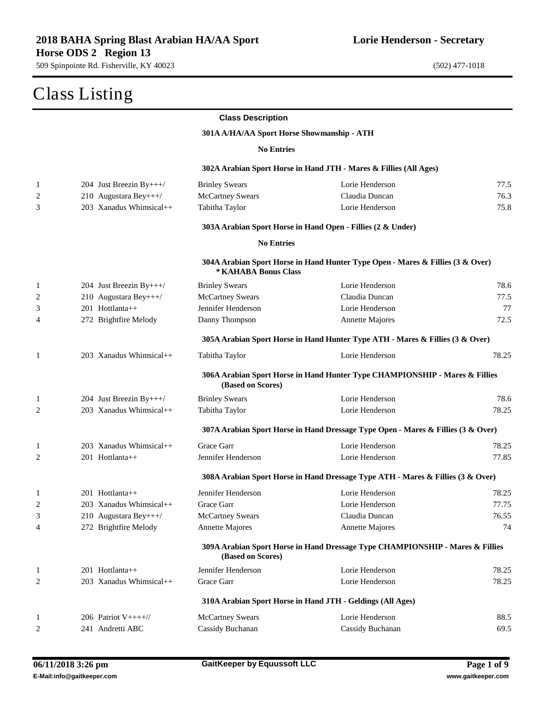|              | Class Listing             |                                            |                                                                                  |       |
|--------------|---------------------------|--------------------------------------------|----------------------------------------------------------------------------------|-------|
|              |                           | <b>Class Description</b>                   |                                                                                  |       |
|              |                           | 301A A/HA/AA Sport Horse Showmanship - ATH |                                                                                  |       |
|              |                           | <b>No Entries</b>                          |                                                                                  |       |
|              |                           |                                            | 302A Arabian Sport Horse in Hand JTH - Mares & Fillies (All Ages)                |       |
| 1            | 204 Just Breezin By+++/   | <b>Brinley Swears</b>                      | Lorie Henderson                                                                  | 77.5  |
| 2            | 210 Augustara Bey+++/     | <b>McCartney Swears</b>                    | Claudia Duncan                                                                   | 76.3  |
| 3            | 203 Xanadus Whimsical++   | Tabitha Taylor                             | Lorie Henderson                                                                  | 75.8  |
|              |                           |                                            | 303A Arabian Sport Horse in Hand Open - Fillies (2 & Under)                      |       |
|              |                           | <b>No Entries</b>                          |                                                                                  |       |
|              |                           | * KAHABA Bonus Class                       | 304A Arabian Sport Horse in Hand Hunter Type Open - Mares & Fillies (3 & Over)   |       |
| 1            | 204 Just Breezin By+++/   | <b>Brinley Swears</b>                      | Lorie Henderson                                                                  | 78.6  |
| 2            | 210 Augustara Bey+++/     | <b>McCartney Swears</b>                    | Claudia Duncan                                                                   | 77.5  |
| 3            | 201 Hottlanta++           | Jennifer Henderson                         | Lorie Henderson                                                                  | 77    |
| 4            | 272 Brightfire Melody     | Danny Thompson                             | <b>Annette Majores</b>                                                           | 72.5  |
|              |                           |                                            | 305A Arabian Sport Horse in Hand Hunter Type ATH - Mares & Fillies (3 & Over)    |       |
| 1            | $203$ Xanadus Whimsical++ | Tabitha Taylor                             | Lorie Henderson                                                                  | 78.25 |
|              |                           | (Based on Scores)                          | 306A Arabian Sport Horse in Hand Hunter Type CHAMPIONSHIP - Mares & Fillies      |       |
| 1            | 204 Just Breezin By+++/   | <b>Brinley Swears</b>                      | Lorie Henderson                                                                  | 78.6  |
| 2            | 203 Xanadus Whimsical++   | Tabitha Taylor                             | Lorie Henderson                                                                  | 78.25 |
|              |                           |                                            | 307A Arabian Sport Horse in Hand Dressage Type Open - Mares & Fillies (3 & Over) |       |
| 1            | $203$ Xanadus Whimsical++ | Grace Garr                                 | Lorie Henderson                                                                  | 78.25 |
| 2            | $201$ Hottlanta++         | Jennifer Henderson                         | Lorie Henderson                                                                  | 77.85 |
|              |                           |                                            | 308A Arabian Sport Horse in Hand Dressage Type ATH - Mares & Fillies (3 & Over)  |       |
| 1            | 201 Hottlanta++           | Jennifer Henderson                         | Lorie Henderson                                                                  | 78.25 |
| 2            | 203 Xanadus Whimsical++   | Grace Garr                                 | Lorie Henderson                                                                  | 77.75 |
| 3            | 210 Augustara Bey+++/     | <b>McCartney Swears</b>                    | Claudia Duncan                                                                   | 76.55 |
| 4            | 272 Brightfire Melody     | Annette Majores                            | Annette Majores                                                                  | 74    |
|              |                           | (Based on Scores)                          | 309A Arabian Sport Horse in Hand Dressage Type CHAMPIONSHIP - Mares & Fillies    |       |
| $\mathbf{1}$ | 201 Hottlanta++           | Jennifer Henderson                         | Lorie Henderson                                                                  | 78.25 |
| 2            | 203 Xanadus Whimsical++   | Grace Garr                                 | Lorie Henderson                                                                  | 78.25 |
|              |                           |                                            | 310A Arabian Sport Horse in Hand JTH - Geldings (All Ages)                       |       |
| 1            | 206 Patriot $V_{++++}/$   | <b>McCartney Swears</b>                    | Lorie Henderson                                                                  | 88.5  |
| 2            | 241 Andretti ABC          | Cassidy Buchanan                           | Cassidy Buchanan                                                                 | 69.5  |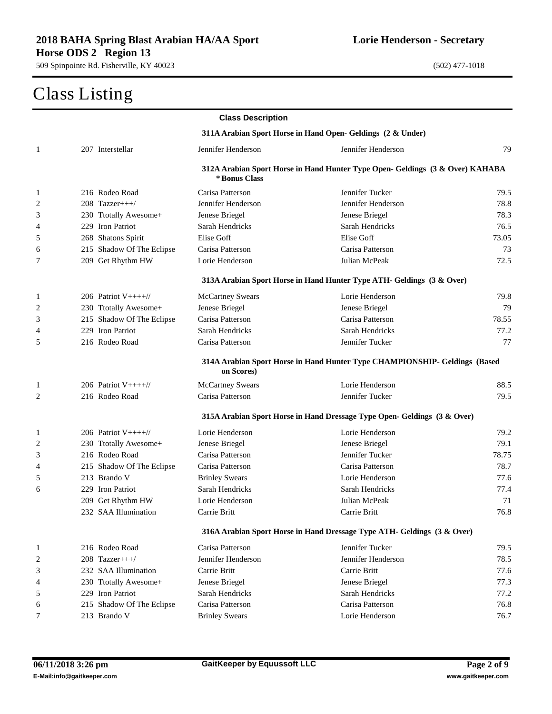|                |                           | <b>Class Description</b> |                                                                               |       |
|----------------|---------------------------|--------------------------|-------------------------------------------------------------------------------|-------|
|                |                           |                          | 311A Arabian Sport Horse in Hand Open- Geldings (2 & Under)                   |       |
| 1              | 207 Interstellar          | Jennifer Henderson       | Jennifer Henderson                                                            | 79    |
|                |                           |                          | 312A Arabian Sport Horse in Hand Hunter Type Open- Geldings (3 & Over) KAHABA |       |
|                |                           | * Bonus Class            |                                                                               |       |
| $\mathbf{1}$   | 216 Rodeo Road            | Carisa Patterson         | Jennifer Tucker                                                               | 79.5  |
| 2              | $208$ Tazzer+++/          | Jennifer Henderson       | Jennifer Henderson                                                            | 78.8  |
| 3              | 230 Ttotally Awesome+     | Jenese Briegel           | Jenese Briegel                                                                | 78.3  |
| 4              | 229 Iron Patriot          | Sarah Hendricks          | Sarah Hendricks                                                               | 76.5  |
| 5              | 268 Shatons Spirit        | Elise Goff               | Elise Goff                                                                    | 73.05 |
| 6              | 215 Shadow Of The Eclipse | Carisa Patterson         | Carisa Patterson                                                              | 73    |
| 7              | 209 Get Rhythm HW         | Lorie Henderson          | Julian McPeak                                                                 | 72.5  |
|                |                           |                          | 313A Arabian Sport Horse in Hand Hunter Type ATH- Geldings (3 & Over)         |       |
| $\mathbf{1}$   | 206 Patriot $V_{++++}/$   | <b>McCartney Swears</b>  | Lorie Henderson                                                               | 79.8  |
| $\overline{c}$ | 230 Ttotally Awesome+     | Jenese Briegel           | Jenese Briegel                                                                | 79    |
| 3              | 215 Shadow Of The Eclipse | Carisa Patterson         | Carisa Patterson                                                              | 78.55 |
| 4              | 229 Iron Patriot          | Sarah Hendricks          | Sarah Hendricks                                                               | 77.2  |
| 5              | 216 Rodeo Road            | Carisa Patterson         | Jennifer Tucker                                                               | 77    |
|                |                           | on Scores)               | 314A Arabian Sport Horse in Hand Hunter Type CHAMPIONSHIP- Geldings (Based    |       |
| $\mathbf{1}$   | 206 Patriot $V++++$       | <b>McCartney Swears</b>  | Lorie Henderson                                                               | 88.5  |
| 2              | 216 Rodeo Road            | Carisa Patterson         | Jennifer Tucker                                                               | 79.5  |
|                |                           |                          | 315A Arabian Sport Horse in Hand Dressage Type Open- Geldings (3 & Over)      |       |
| 1              | 206 Patriot $V_{++++}/$   | Lorie Henderson          | Lorie Henderson                                                               | 79.2  |
| 2              | 230 Ttotally Awesome+     | Jenese Briegel           | Jenese Briegel                                                                | 79.1  |
| 3              | 216 Rodeo Road            | Carisa Patterson         | Jennifer Tucker                                                               | 78.75 |
| 4              | 215 Shadow Of The Eclipse | Carisa Patterson         | Carisa Patterson                                                              | 78.7  |
| 5              | 213 Brando V              | <b>Brinley Swears</b>    | Lorie Henderson                                                               | 77.6  |
| 6              | 229 Iron Patriot          | Sarah Hendricks          | Sarah Hendricks                                                               | 77.4  |
|                | 209 Get Rhythm HW         | Lorie Henderson          | Julian McPeak                                                                 | 71    |
|                | 232 SAA Illumination      | Carrie Britt             | Carrie Britt                                                                  | 76.8  |
|                |                           |                          | 316A Arabian Sport Horse in Hand Dressage Type ATH- Geldings (3 & Over)       |       |
| $\mathbf{1}$   | 216 Rodeo Road            | Carisa Patterson         | Jennifer Tucker                                                               | 79.5  |
| 2              | $208$ Tazzer+++/          | Jennifer Henderson       | Jennifer Henderson                                                            | 78.5  |
| 3              | 232 SAA Illumination      | Carrie Britt             | Carrie Britt                                                                  | 77.6  |
| 4              | 230 Ttotally Awesome+     | Jenese Briegel           | Jenese Briegel                                                                | 77.3  |
| 5              | 229 Iron Patriot          | Sarah Hendricks          | Sarah Hendricks                                                               | 77.2  |
| 6              | 215 Shadow Of The Eclipse | Carisa Patterson         | Carisa Patterson                                                              | 76.8  |
| 7              | 213 Brando V              | <b>Brinley Swears</b>    | Lorie Henderson                                                               | 76.7  |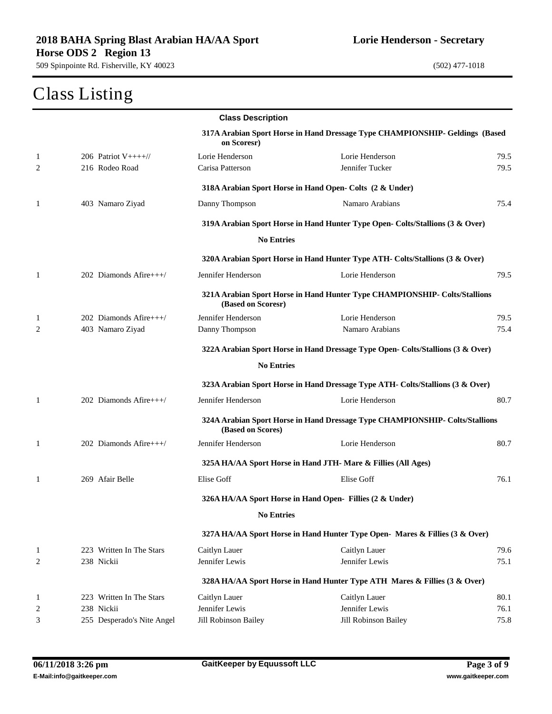# Class Listing

|              |                            | <b>Class Description</b> |                                                                                 |      |
|--------------|----------------------------|--------------------------|---------------------------------------------------------------------------------|------|
|              |                            | on Scoresr)              | 317A Arabian Sport Horse in Hand Dressage Type CHAMPIONSHIP- Geldings (Based    |      |
| $\mathbf{1}$ | 206 Patriot $V_{++++}/$    | Lorie Henderson          | Lorie Henderson                                                                 | 79.5 |
| 2            | 216 Rodeo Road             | Carisa Patterson         | Jennifer Tucker                                                                 | 79.5 |
|              |                            |                          | 318A Arabian Sport Horse in Hand Open- Colts (2 & Under)                        |      |
| 1            | 403 Namaro Ziyad           | Danny Thompson           | Namaro Arabians                                                                 | 75.4 |
|              |                            |                          | 319A Arabian Sport Horse in Hand Hunter Type Open- Colts/Stallions (3 & Over)   |      |
|              |                            | <b>No Entries</b>        |                                                                                 |      |
|              |                            |                          | 320A Arabian Sport Horse in Hand Hunter Type ATH- Colts/Stallions (3 & Over)    |      |
| $\mathbf{1}$ | 202 Diamonds Afire+++/     | Jennifer Henderson       | Lorie Henderson                                                                 | 79.5 |
|              |                            | (Based on Scoresr)       | 321A Arabian Sport Horse in Hand Hunter Type CHAMPIONSHIP- Colts/Stallions      |      |
| $\mathbf{1}$ | $202$ Diamonds Afire+++/   | Jennifer Henderson       | Lorie Henderson                                                                 | 79.5 |
| 2            | 403 Namaro Ziyad           | Danny Thompson           | Namaro Arabians                                                                 | 75.4 |
|              |                            |                          | 322A Arabian Sport Horse in Hand Dressage Type Open- Colts/Stallions (3 & Over) |      |
|              |                            | <b>No Entries</b>        |                                                                                 |      |
|              |                            |                          | 323A Arabian Sport Horse in Hand Dressage Type ATH- Colts/Stallions (3 & Over)  |      |
| $\mathbf{1}$ | 202 Diamonds Afire+++/     | Jennifer Henderson       | Lorie Henderson                                                                 | 80.7 |
|              |                            | (Based on Scores)        | 324A Arabian Sport Horse in Hand Dressage Type CHAMPIONSHIP- Colts/Stallions    |      |
| 1            | 202 Diamonds Afire+++/     | Jennifer Henderson       | Lorie Henderson                                                                 | 80.7 |
|              |                            |                          | 325A HA/AA Sport Horse in Hand JTH- Mare & Fillies (All Ages)                   |      |
| 1            | 269 Afair Belle            | Elise Goff               | Elise Goff                                                                      | 76.1 |
|              |                            |                          | 326A HA/AA Sport Horse in Hand Open- Fillies (2 & Under)                        |      |
|              |                            | <b>No Entries</b>        |                                                                                 |      |
|              |                            |                          | 327A HA/AA Sport Horse in Hand Hunter Type Open- Mares & Fillies (3 & Over)     |      |
| $\mathbf{1}$ | 223 Written In The Stars   | Caitlyn Lauer            | Caitlyn Lauer                                                                   | 79.6 |
| 2            | 238 Nickii                 | Jennifer Lewis           | Jennifer Lewis                                                                  | 75.1 |
|              |                            |                          | 328A HA/AA Sport Horse in Hand Hunter Type ATH Mares & Fillies (3 & Over)       |      |
| $\mathbf{1}$ | 223 Written In The Stars   | Caitlyn Lauer            | Caitlyn Lauer                                                                   | 80.1 |
| 2            | 238 Nickii                 | Jennifer Lewis           | Jennifer Lewis                                                                  | 76.1 |
| 3            | 255 Desperado's Nite Angel | Jill Robinson Bailey     | Jill Robinson Bailey                                                            | 75.8 |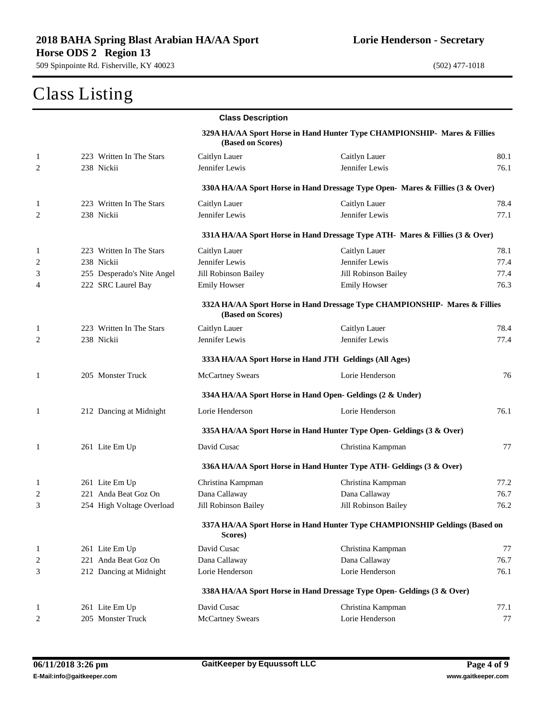## Class Listing

|              |                            | <b>Class Description</b> |                                                                               |      |
|--------------|----------------------------|--------------------------|-------------------------------------------------------------------------------|------|
|              |                            | (Based on Scores)        | 329A HA/AA Sport Horse in Hand Hunter Type CHAMPIONSHIP- Mares & Fillies      |      |
| 1            | 223 Written In The Stars   | Caitlyn Lauer            | Caitlyn Lauer                                                                 | 80.1 |
| 2            | 238 Nickii                 | Jennifer Lewis           | Jennifer Lewis                                                                | 76.1 |
|              |                            |                          | 330A HA/AA Sport Horse in Hand Dressage Type Open- Mares & Fillies (3 & Over) |      |
| 1            | 223 Written In The Stars   | Caitlyn Lauer            | Caitlyn Lauer                                                                 | 78.4 |
| 2            | 238 Nickii                 | Jennifer Lewis           | Jennifer Lewis                                                                | 77.1 |
|              |                            |                          | 331A HA/AA Sport Horse in Hand Dressage Type ATH- Mares & Fillies (3 & Over)  |      |
| 1            | 223 Written In The Stars   | Caitlyn Lauer            | Caitlyn Lauer                                                                 | 78.1 |
| 2            | 238 Nickii                 | Jennifer Lewis           | Jennifer Lewis                                                                | 77.4 |
| 3            | 255 Desperado's Nite Angel | Jill Robinson Bailey     | Jill Robinson Bailey                                                          | 77.4 |
| 4            | 222 SRC Laurel Bay         | <b>Emily Howser</b>      | <b>Emily Howser</b>                                                           | 76.3 |
|              |                            | (Based on Scores)        | 332A HA/AA Sport Horse in Hand Dressage Type CHAMPIONSHIP- Mares & Fillies    |      |
| 1            | 223 Written In The Stars   | Caitlyn Lauer            | Caitlyn Lauer                                                                 | 78.4 |
| 2            | 238 Nickii                 | Jennifer Lewis           | Jennifer Lewis                                                                | 77.4 |
|              |                            |                          | 333A HA/AA Sport Horse in Hand JTH Geldings (All Ages)                        |      |
| 1            | 205 Monster Truck          | <b>McCartney Swears</b>  | Lorie Henderson                                                               | 76   |
|              |                            |                          | 334A HA/AA Sport Horse in Hand Open- Geldings (2 & Under)                     |      |
| 1            | 212 Dancing at Midnight    | Lorie Henderson          | Lorie Henderson                                                               | 76.1 |
|              |                            |                          | 335A HA/AA Sport Horse in Hand Hunter Type Open- Geldings (3 & Over)          |      |
| $\mathbf{1}$ | 261 Lite Em Up             | David Cusac              | Christina Kampman                                                             | 77   |
|              |                            |                          | 336A HA/AA Sport Horse in Hand Hunter Type ATH- Geldings (3 & Over)           |      |
| 1            | 261 Lite Em Up             | Christina Kampman        | Christina Kampman                                                             | 77.2 |
| 2            | 221 Anda Beat Goz On       | Dana Callaway            | Dana Callaway                                                                 | 76.7 |
| 3            | 254 High Voltage Overload  | Jill Robinson Bailey     | Jill Robinson Bailey                                                          | 76.2 |
|              |                            | Scores)                  | 337A HA/AA Sport Horse in Hand Hunter Type CHAMPIONSHIP Geldings (Based on    |      |
| 1            | 261 Lite Em Up             | David Cusac              | Christina Kampman                                                             | 77   |
| 2            | 221 Anda Beat Goz On       | Dana Callaway            | Dana Callaway                                                                 | 76.7 |
| 3            | 212 Dancing at Midnight    | Lorie Henderson          | Lorie Henderson                                                               | 76.1 |
|              |                            |                          | 338A HA/AA Sport Horse in Hand Dressage Type Open- Geldings (3 & Over)        |      |
| 1            | 261 Lite Em Up             | David Cusac              | Christina Kampman                                                             | 77.1 |
| 2            | 205 Monster Truck          | <b>McCartney Swears</b>  | Lorie Henderson                                                               | 77   |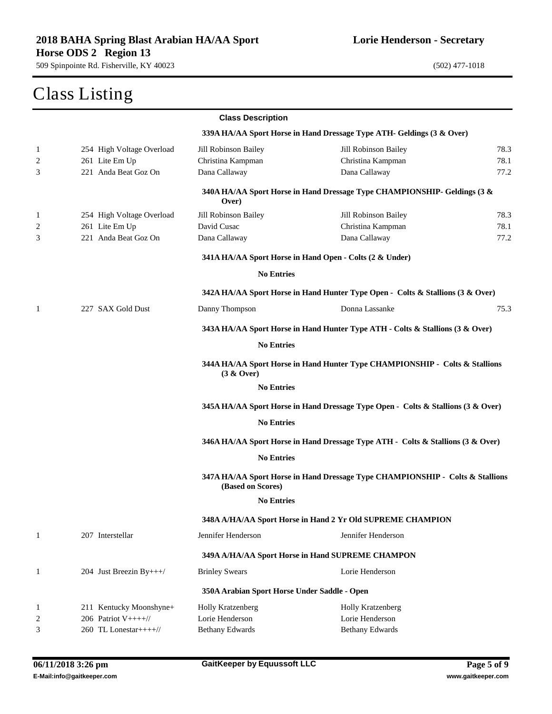### Class Listing

|                |                           | <b>Class Description</b>                     |                                                                                  |      |
|----------------|---------------------------|----------------------------------------------|----------------------------------------------------------------------------------|------|
|                |                           |                                              | 339A HA/AA Sport Horse in Hand Dressage Type ATH- Geldings (3 & Over)            |      |
| $\mathbf{1}$   | 254 High Voltage Overload | Jill Robinson Bailey                         | Jill Robinson Bailey                                                             | 78.3 |
| 2              | 261 Lite Em Up            | Christina Kampman                            | Christina Kampman                                                                | 78.1 |
| 3              | 221 Anda Beat Goz On      | Dana Callaway                                | Dana Callaway                                                                    | 77.2 |
|                |                           | Over)                                        | 340A HA/AA Sport Horse in Hand Dressage Type CHAMPIONSHIP- Geldings (3 &         |      |
| $\mathbf{1}$   | 254 High Voltage Overload | Jill Robinson Bailey                         | Jill Robinson Bailey                                                             | 78.3 |
| 2              | 261 Lite Em Up            | David Cusac                                  | Christina Kampman                                                                | 78.1 |
| 3              | 221 Anda Beat Goz On      | Dana Callaway                                | Dana Callaway                                                                    | 77.2 |
|                |                           |                                              | 341A HA/AA Sport Horse in Hand Open - Colts (2 & Under)                          |      |
|                |                           | <b>No Entries</b>                            |                                                                                  |      |
|                |                           |                                              | 342A HA/AA Sport Horse in Hand Hunter Type Open - Colts & Stallions (3 & Over)   |      |
| 1              | 227 SAX Gold Dust         | Danny Thompson                               | Donna Lassanke                                                                   | 75.3 |
|                |                           |                                              | 343A HA/AA Sport Horse in Hand Hunter Type ATH - Colts & Stallions (3 & Over)    |      |
|                |                           | <b>No Entries</b>                            |                                                                                  |      |
|                |                           | (3 & Qver)                                   | 344A HA/AA Sport Horse in Hand Hunter Type CHAMPIONSHIP - Colts & Stallions      |      |
|                |                           | <b>No Entries</b>                            |                                                                                  |      |
|                |                           |                                              | 345A HA/AA Sport Horse in Hand Dressage Type Open - Colts & Stallions (3 & Over) |      |
|                |                           | <b>No Entries</b>                            |                                                                                  |      |
|                |                           |                                              | 346A HA/AA Sport Horse in Hand Dressage Type ATH - Colts & Stallions (3 & Over)  |      |
|                |                           | <b>No Entries</b>                            |                                                                                  |      |
|                |                           | (Based on Scores)                            | 347A HA/AA Sport Horse in Hand Dressage Type CHAMPIONSHIP - Colts & Stallions    |      |
|                |                           | <b>No Entries</b>                            |                                                                                  |      |
|                |                           |                                              | 348A A/HA/AA Sport Horse in Hand 2 Yr Old SUPREME CHAMPION                       |      |
| $\mathbf{1}$   | 207 Interstellar          | Jennifer Henderson                           | Jennifer Henderson                                                               |      |
|                |                           |                                              | 349A A/HA/AA Sport Horse in Hand SUPREME CHAMPON                                 |      |
| $\mathbf{1}$   | 204 Just Breezin By+++/   | <b>Brinley Swears</b>                        | Lorie Henderson                                                                  |      |
|                |                           | 350A Arabian Sport Horse Under Saddle - Open |                                                                                  |      |
| $\mathbf{1}$   | 211 Kentucky Moonshyne+   | Holly Kratzenberg                            | Holly Kratzenberg                                                                |      |
| $\overline{c}$ | 206 Patriot $V+++/$       | Lorie Henderson                              | Lorie Henderson                                                                  |      |
| 3              | 260 TL Lonestar++++//     | <b>Bethany Edwards</b>                       | <b>Bethany Edwards</b>                                                           |      |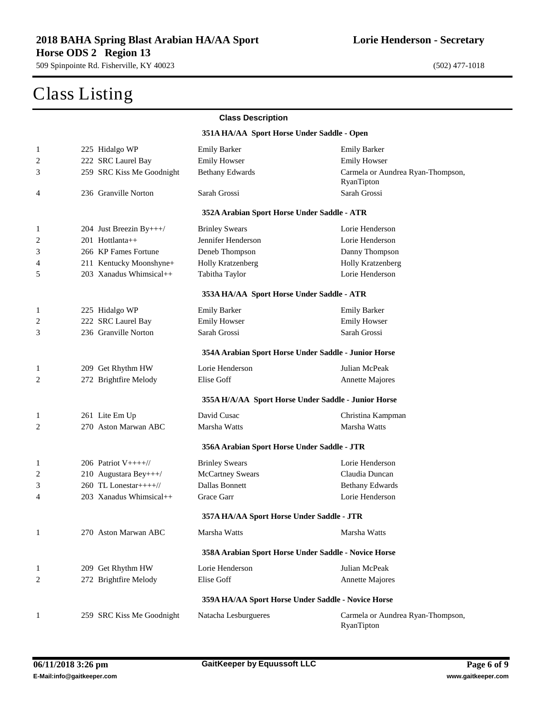|                |                           | <b>Class Description</b>                             |                                                 |
|----------------|---------------------------|------------------------------------------------------|-------------------------------------------------|
|                |                           | 351A HA/AA Sport Horse Under Saddle - Open           |                                                 |
| $\mathbf{1}$   | 225 Hidalgo WP            | <b>Emily Barker</b>                                  | <b>Emily Barker</b>                             |
| 2              | 222 SRC Laurel Bay        | <b>Emily Howser</b>                                  | <b>Emily Howser</b>                             |
| 3              | 259 SRC Kiss Me Goodnight | <b>Bethany Edwards</b>                               | Carmela or Aundrea Ryan-Thompson,<br>RyanTipton |
| 4              | 236 Granville Norton      | Sarah Grossi                                         | Sarah Grossi                                    |
|                |                           | 352A Arabian Sport Horse Under Saddle - ATR          |                                                 |
| $\mathbf{1}$   | 204 Just Breezin By+++/   | <b>Brinley Swears</b>                                | Lorie Henderson                                 |
| $\overline{2}$ | 201 Hottlanta++           | Jennifer Henderson                                   | Lorie Henderson                                 |
| 3              | 266 KP Fames Fortune      | Deneb Thompson                                       | Danny Thompson                                  |
| 4              | 211 Kentucky Moonshyne+   | Holly Kratzenberg                                    | Holly Kratzenberg                               |
| 5              | 203 Xanadus Whimsical++   | Tabitha Taylor                                       | Lorie Henderson                                 |
|                |                           | 353A HA/AA Sport Horse Under Saddle - ATR            |                                                 |
| 1              | 225 Hidalgo WP            | <b>Emily Barker</b>                                  | <b>Emily Barker</b>                             |
| 2              | 222 SRC Laurel Bay        | <b>Emily Howser</b>                                  | <b>Emily Howser</b>                             |
| 3              | 236 Granville Norton      | Sarah Grossi                                         | Sarah Grossi                                    |
|                |                           | 354A Arabian Sport Horse Under Saddle - Junior Horse |                                                 |
| $\mathbf{1}$   | 209 Get Rhythm HW         | Lorie Henderson                                      | Julian McPeak                                   |
| 2              | 272 Brightfire Melody     | Elise Goff                                           | <b>Annette Majores</b>                          |
|                |                           | 355A H/A/AA Sport Horse Under Saddle - Junior Horse  |                                                 |
| 1              | 261 Lite Em Up            | David Cusac                                          | Christina Kampman                               |
| 2              | 270 Aston Marwan ABC      | Marsha Watts                                         | Marsha Watts                                    |
|                |                           | 356A Arabian Sport Horse Under Saddle - JTR          |                                                 |
| 1              | 206 Patriot $V+++/$       | <b>Brinley Swears</b>                                | Lorie Henderson                                 |
| 2              | 210 Augustara Bey+++/     | <b>McCartney Swears</b>                              | Claudia Duncan                                  |
| 3              | 260 TL Lonestar++++//     | Dallas Bonnett                                       | <b>Bethany Edwards</b>                          |
| 4              | 203 Xanadus Whimsical++   | Grace Garr                                           | Lorie Henderson                                 |
|                |                           | 357A HA/AA Sport Horse Under Saddle - JTR            |                                                 |
| 1              | 270 Aston Marwan ABC      | Marsha Watts                                         | Marsha Watts                                    |
|                |                           | 358A Arabian Sport Horse Under Saddle - Novice Horse |                                                 |
| $\mathbf{1}$   | 209 Get Rhythm HW         | Lorie Henderson                                      | Julian McPeak                                   |
| 2              | 272 Brightfire Melody     | Elise Goff                                           | <b>Annette Majores</b>                          |
|                |                           | 359A HA/AA Sport Horse Under Saddle - Novice Horse   |                                                 |
| $\mathbf{1}$   | 259 SRC Kiss Me Goodnight | Natacha Lesburgueres                                 | Carmela or Aundrea Ryan-Thompson,<br>RyanTipton |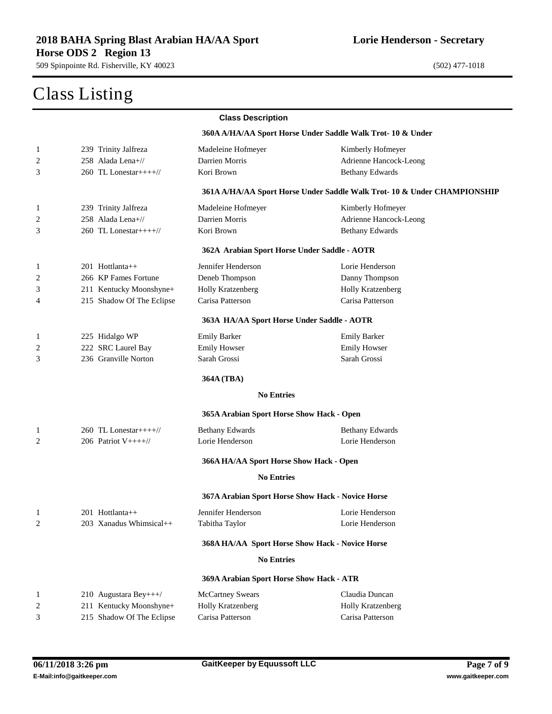|              | $\sum_{i=1}^{n}$                         |                                                   |                                                                          |
|--------------|------------------------------------------|---------------------------------------------------|--------------------------------------------------------------------------|
|              |                                          | <b>Class Description</b>                          |                                                                          |
|              |                                          |                                                   | 360A A/HA/AA Sport Horse Under Saddle Walk Trot-10 & Under               |
| 1            | 239 Trinity Jalfreza                     | Madeleine Hofmeyer                                | Kimberly Hofmeyer                                                        |
| 2            | 258 Alada Lena+//                        | Darrien Morris                                    | Adrienne Hancock-Leong                                                   |
| 3            | $260$ TL Lonestar++++//                  | Kori Brown                                        | <b>Bethany Edwards</b>                                                   |
|              |                                          |                                                   | 361A A/HA/AA Sport Horse Under Saddle Walk Trot- 10 & Under CHAMPIONSHIP |
| $\mathbf{1}$ | 239 Trinity Jalfreza                     | Madeleine Hofmeyer                                | Kimberly Hofmeyer                                                        |
| 2            | 258 Alada Lena+//                        | Darrien Morris                                    | Adrienne Hancock-Leong                                                   |
| 3            | $260$ TL Lonestar++++//                  | Kori Brown                                        | <b>Bethany Edwards</b>                                                   |
|              |                                          | 362A Arabian Sport Horse Under Saddle - AOTR      |                                                                          |
| 1            | 201 Hottlanta++                          | Jennifer Henderson                                | Lorie Henderson                                                          |
| 2            | 266 KP Fames Fortune                     | Deneb Thompson                                    | Danny Thompson                                                           |
| 3            | 211 Kentucky Moonshyne+                  | Holly Kratzenberg                                 | <b>Holly Kratzenberg</b>                                                 |
| 4            | 215 Shadow Of The Eclipse                | Carisa Patterson                                  | Carisa Patterson                                                         |
|              |                                          | 363A HA/AA Sport Horse Under Saddle - AOTR        |                                                                          |
| 1            | 225 Hidalgo WP                           | <b>Emily Barker</b>                               | <b>Emily Barker</b>                                                      |
| 2            | 222 SRC Laurel Bay                       | <b>Emily Howser</b>                               | <b>Emily Howser</b>                                                      |
| 3            | 236 Granville Norton                     | Sarah Grossi                                      | Sarah Grossi                                                             |
|              |                                          | 364A (TBA)                                        |                                                                          |
|              |                                          | <b>No Entries</b>                                 |                                                                          |
|              |                                          | 365A Arabian Sport Horse Show Hack - Open         |                                                                          |
| 1            | 260 TL Lonestar++++ $\frac{1}{\sqrt{2}}$ | <b>Bethany Edwards</b>                            | <b>Bethany Edwards</b>                                                   |
| 2            | 206 Patriot V++++//                      | Lorie Henderson                                   | Lorie Henderson                                                          |
|              |                                          | 366A HA/AA Sport Horse Show Hack - Open           |                                                                          |
|              |                                          | <b>No Entries</b>                                 |                                                                          |
|              |                                          | 367A Arabian Sport Horse Show Hack - Novice Horse |                                                                          |
| $\mathbf{1}$ | 201 Hottlanta++                          | Jennifer Henderson                                | Lorie Henderson                                                          |
| 2            | 203 Xanadus Whimsical++                  | Tabitha Taylor                                    | Lorie Henderson                                                          |
|              |                                          | 368A HA/AA Sport Horse Show Hack - Novice Horse   |                                                                          |
|              |                                          | <b>No Entries</b>                                 |                                                                          |
|              |                                          | 369A Arabian Sport Horse Show Hack - ATR          |                                                                          |
| 1            | 210 Augustara Bey+++/                    | <b>McCartney Swears</b>                           | Claudia Duncan                                                           |
| 2            | 211 Kentucky Moonshyne+                  | Holly Kratzenberg                                 | Holly Kratzenberg                                                        |
| 3            | 215 Shadow Of The Eclipse                | Carisa Patterson                                  | Carisa Patterson                                                         |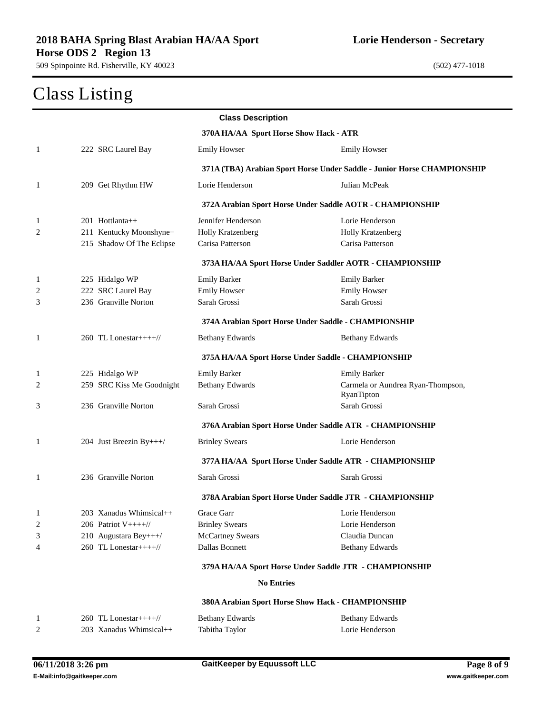|                                        |                           | <b>Class Description</b>                                  |                                                                         |  |
|----------------------------------------|---------------------------|-----------------------------------------------------------|-------------------------------------------------------------------------|--|
| 370A HA/AA Sport Horse Show Hack - ATR |                           |                                                           |                                                                         |  |
| 1                                      | 222 SRC Laurel Bay        | <b>Emily Howser</b>                                       | <b>Emily Howser</b>                                                     |  |
|                                        |                           |                                                           | 371A (TBA) Arabian Sport Horse Under Saddle - Junior Horse CHAMPIONSHIP |  |
| 1                                      | 209 Get Rhythm HW         | Lorie Henderson                                           | Julian McPeak                                                           |  |
|                                        |                           | 372A Arabian Sport Horse Under Saddle AOTR - CHAMPIONSHIP |                                                                         |  |
| 1                                      | $201$ Hottlanta++         | Jennifer Henderson                                        | Lorie Henderson                                                         |  |
| 2                                      | 211 Kentucky Moonshyne+   | Holly Kratzenberg                                         | Holly Kratzenberg                                                       |  |
|                                        | 215 Shadow Of The Eclipse | Carisa Patterson                                          | Carisa Patterson                                                        |  |
|                                        |                           | 373A HA/AA Sport Horse Under Saddler AOTR - CHAMPIONSHIP  |                                                                         |  |
| -1                                     | 225 Hidalgo WP            | <b>Emily Barker</b>                                       | <b>Emily Barker</b>                                                     |  |
| 2                                      | 222 SRC Laurel Bay        | <b>Emily Howser</b>                                       | <b>Emily Howser</b>                                                     |  |
| 3                                      | 236 Granville Norton      | Sarah Grossi                                              | Sarah Grossi                                                            |  |
|                                        |                           | 374A Arabian Sport Horse Under Saddle - CHAMPIONSHIP      |                                                                         |  |
| 1                                      | 260 TL Lonestar++++//     | <b>Bethany Edwards</b>                                    | <b>Bethany Edwards</b>                                                  |  |
|                                        |                           | 375A HA/AA Sport Horse Under Saddle - CHAMPIONSHIP        |                                                                         |  |
| 1                                      | 225 Hidalgo WP            | <b>Emily Barker</b>                                       | <b>Emily Barker</b>                                                     |  |
| 2                                      | 259 SRC Kiss Me Goodnight | <b>Bethany Edwards</b>                                    | Carmela or Aundrea Ryan-Thompson,<br>RyanTipton                         |  |
| 3                                      | 236 Granville Norton      | Sarah Grossi                                              | Sarah Grossi                                                            |  |
|                                        |                           | 376A Arabian Sport Horse Under Saddle ATR - CHAMPIONSHIP  |                                                                         |  |
| 1                                      | 204 Just Breezin By+++/   | <b>Brinley Swears</b>                                     | Lorie Henderson                                                         |  |
|                                        |                           | 377A HA/AA Sport Horse Under Saddle ATR - CHAMPIONSHIP    |                                                                         |  |
| 1                                      | 236 Granville Norton      | Sarah Grossi                                              | Sarah Grossi                                                            |  |
|                                        |                           | 378A Arabian Sport Horse Under Saddle JTR - CHAMPIONSHIP  |                                                                         |  |
| 1                                      | 203 Xanadus Whimsical++   | Grace Garr                                                | Lorie Henderson                                                         |  |
| 2                                      | 206 Patriot $V++++$       | <b>Brinley Swears</b>                                     | Lorie Henderson                                                         |  |
| 3                                      | 210 Augustara Bey+++/     | <b>McCartney Swears</b>                                   | Claudia Duncan                                                          |  |
| 4                                      | 260 TL Lonestar++++//     | Dallas Bonnett                                            | <b>Bethany Edwards</b>                                                  |  |
|                                        |                           | 379A HA/AA Sport Horse Under Saddle JTR - CHAMPIONSHIP    |                                                                         |  |
|                                        |                           | <b>No Entries</b>                                         |                                                                         |  |
|                                        |                           | 380A Arabian Sport Horse Show Hack - CHAMPIONSHIP         |                                                                         |  |
| $\mathbf{1}$                           | 260 TL Lonestar++++//     | <b>Bethany Edwards</b>                                    | <b>Bethany Edwards</b>                                                  |  |
| 2                                      | 203 Xanadus Whimsical++   | Tabitha Taylor                                            | Lorie Henderson                                                         |  |